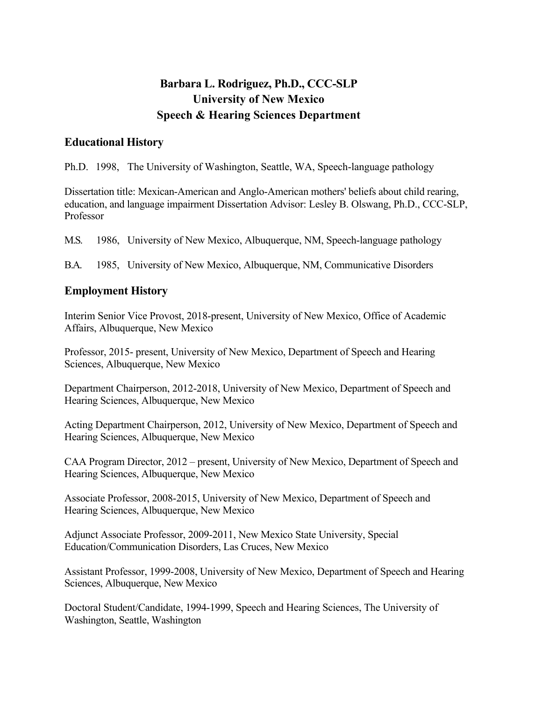# **Barbara L. Rodriguez, Ph.D., CCC-SLP University of New Mexico Speech & Hearing Sciences Department**

### **Educational History**

Ph.D. 1998, The University of Washington, Seattle, WA, Speech-language pathology

Dissertation title: Mexican-American and Anglo-American mothers' beliefs about child rearing, education, and language impairment Dissertation Advisor: Lesley B. Olswang, Ph.D., CCC-SLP, Professor

M.S. 1986, University of New Mexico, Albuquerque, NM, Speech-language pathology

B.A. 1985, University of New Mexico, Albuquerque, NM, Communicative Disorders

### **Employment History**

Interim Senior Vice Provost, 2018-present, University of New Mexico, Office of Academic Affairs, Albuquerque, New Mexico

Professor, 2015- present, University of New Mexico, Department of Speech and Hearing Sciences, Albuquerque, New Mexico

Department Chairperson, 2012-2018, University of New Mexico, Department of Speech and Hearing Sciences, Albuquerque, New Mexico

Acting Department Chairperson, 2012, University of New Mexico, Department of Speech and Hearing Sciences, Albuquerque, New Mexico

CAA Program Director, 2012 – present, University of New Mexico, Department of Speech and Hearing Sciences, Albuquerque, New Mexico

Associate Professor, 2008-2015, University of New Mexico, Department of Speech and Hearing Sciences, Albuquerque, New Mexico

Adjunct Associate Professor, 2009-2011, New Mexico State University, Special Education/Communication Disorders, Las Cruces, New Mexico

Assistant Professor, 1999-2008, University of New Mexico, Department of Speech and Hearing Sciences, Albuquerque, New Mexico

Doctoral Student/Candidate, 1994-1999, Speech and Hearing Sciences, The University of Washington, Seattle, Washington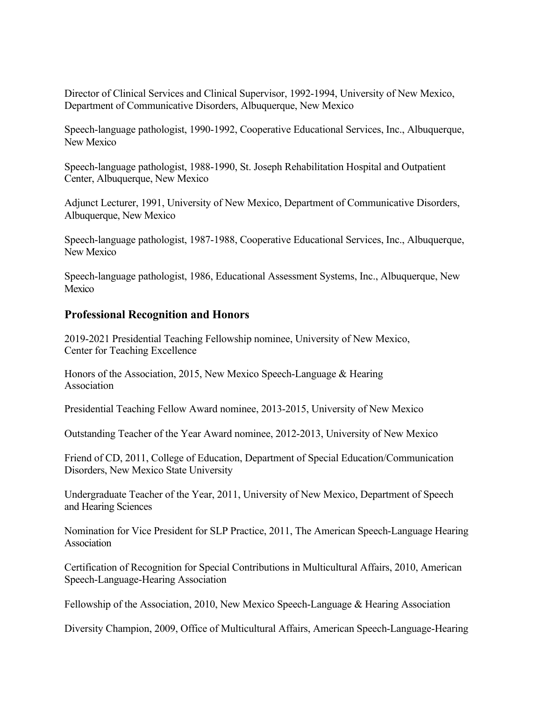Director of Clinical Services and Clinical Supervisor, 1992-1994, University of New Mexico, Department of Communicative Disorders, Albuquerque, New Mexico

Speech-language pathologist, 1990-1992, Cooperative Educational Services, Inc., Albuquerque, New Mexico

Speech-language pathologist, 1988-1990, St. Joseph Rehabilitation Hospital and Outpatient Center, Albuquerque, New Mexico

Adjunct Lecturer, 1991, University of New Mexico, Department of Communicative Disorders, Albuquerque, New Mexico

Speech-language pathologist, 1987-1988, Cooperative Educational Services, Inc., Albuquerque, New Mexico

Speech-language pathologist, 1986, Educational Assessment Systems, Inc., Albuquerque, New Mexico

### **Professional Recognition and Honors**

2019-2021 Presidential Teaching Fellowship nominee, University of New Mexico, Center for Teaching Excellence

Honors of the Association, 2015, New Mexico Speech-Language & Hearing Association

Presidential Teaching Fellow Award nominee, 2013-2015, University of New Mexico

Outstanding Teacher of the Year Award nominee, 2012-2013, University of New Mexico

Friend of CD, 2011, College of Education, Department of Special Education/Communication Disorders, New Mexico State University

Undergraduate Teacher of the Year, 2011, University of New Mexico, Department of Speech and Hearing Sciences

Nomination for Vice President for SLP Practice, 2011, The American Speech-Language Hearing Association

Certification of Recognition for Special Contributions in Multicultural Affairs, 2010, American Speech-Language-Hearing Association

Fellowship of the Association, 2010, New Mexico Speech-Language & Hearing Association

Diversity Champion, 2009, Office of Multicultural Affairs, American Speech-Language-Hearing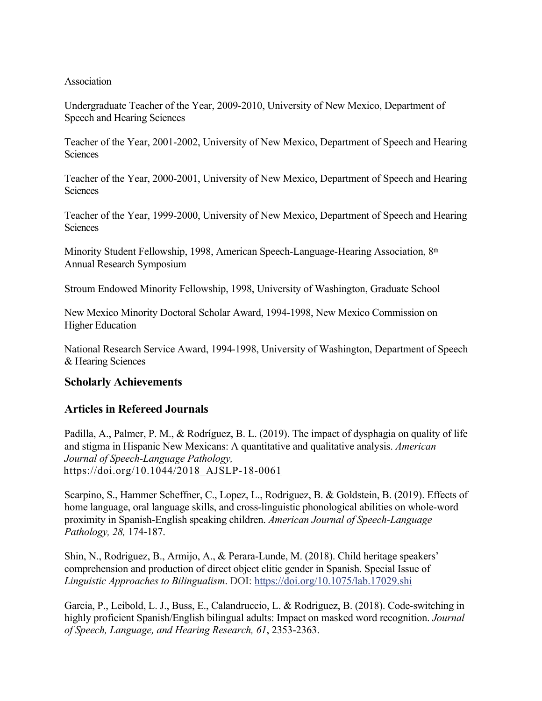### Association

Undergraduate Teacher of the Year, 2009-2010, University of New Mexico, Department of Speech and Hearing Sciences

Teacher of the Year, 2001-2002, University of New Mexico, Department of Speech and Hearing **Sciences** 

Teacher of the Year, 2000-2001, University of New Mexico, Department of Speech and Hearing **Sciences** 

Teacher of the Year, 1999-2000, University of New Mexico, Department of Speech and Hearing **Sciences** 

Minority Student Fellowship, 1998, American Speech-Language-Hearing Association, 8th Annual Research Symposium

Stroum Endowed Minority Fellowship, 1998, University of Washington, Graduate School

New Mexico Minority Doctoral Scholar Award, 1994-1998, New Mexico Commission on Higher Education

National Research Service Award, 1994-1998, University of Washington, Department of Speech & Hearing Sciences

### **Scholarly Achievements**

### **Articles in Refereed Journals**

Padilla, A., Palmer, P. M., & Rodríguez, B. L. (2019). The impact of dysphagia on quality of life and stigma in Hispanic New Mexicans: A quantitative and qualitative analysis. *American Journal of Speech-Language Pathology,*  https://doi.org/10.1044/2018\_AJSLP-18-0061

Scarpino, S., Hammer Scheffner, C., Lopez, L., Rodriguez, B. & Goldstein, B. (2019). Effects of home language, oral language skills, and cross-linguistic phonological abilities on whole-word proximity in Spanish-English speaking children. *American Journal of Speech-Language Pathology, 28,* 174-187.

Shin, N., Rodriguez, B., Armijo, A., & Perara-Lunde, M. (2018). Child heritage speakers' comprehension and production of direct object clitic gender in Spanish. Special Issue of *Linguistic Approaches to Bilingualism*. DOI: https://doi.org/10.1075/lab.17029.shi

Garcia, P., Leibold, L. J., Buss, E., Calandruccio, L. & Rodriguez, B. (2018). Code-switching in highly proficient Spanish/English bilingual adults: Impact on masked word recognition. *Journal of Speech, Language, and Hearing Research, 61*, 2353-2363.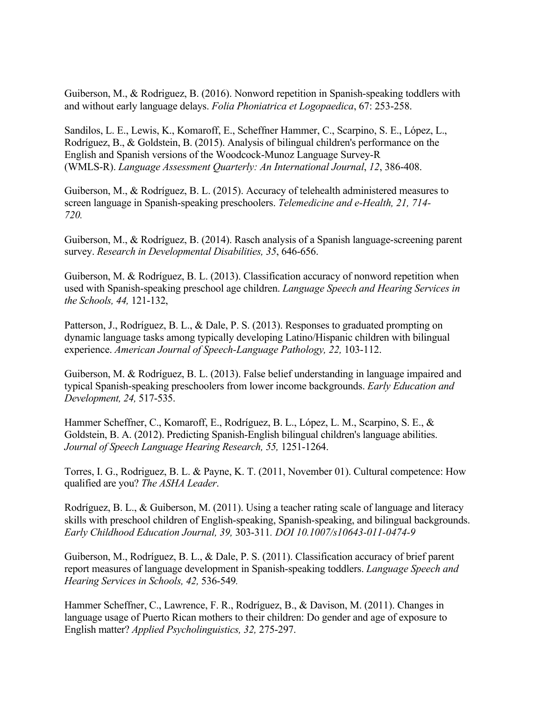Guiberson, M., & Rodriguez, B. (2016). Nonword repetition in Spanish-speaking toddlers with and without early language delays. *Folia Phoniatrica et Logopaedica*, 67: 253-258.

Sandilos, L. E., Lewis, K., Komaroff, E., Scheffner Hammer, C., Scarpino, S. E., López, L., Rodríguez, B., & Goldstein, B. (2015). Analysis of bilingual children's performance on the English and Spanish versions of the Woodcock-Munoz Language Survey-R (WMLS-R). *Language Assessment Quarterly: An International Journal*, *12*, 386-408.

Guiberson, M., & Rodríguez, B. L. (2015). Accuracy of telehealth administered measures to screen language in Spanish-speaking preschoolers. *Telemedicine and e-Health, 21, 714- 720.*

Guiberson, M., & Rodríguez, B. (2014). Rasch analysis of a Spanish language-screening parent survey. *Research in Developmental Disabilities, 35*, 646-656.

Guiberson, M. & Rodríguez, B. L. (2013). Classification accuracy of nonword repetition when used with Spanish-speaking preschool age children. *Language Speech and Hearing Services in the Schools, 44,* 121-132,

Patterson, J., Rodríguez, B. L., & Dale, P. S. (2013). Responses to graduated prompting on dynamic language tasks among typically developing Latino/Hispanic children with bilingual experience. *American Journal of Speech-Language Pathology, 22,* 103-112.

Guiberson, M. & Rodríguez, B. L. (2013). False belief understanding in language impaired and typical Spanish-speaking preschoolers from lower income backgrounds. *Early Education and Development, 24,* 517-535.

Hammer Scheffner, C., Komaroff, E., Rodríguez, B. L., López, L. M., Scarpino, S. E., & Goldstein, B. A. (2012). Predicting Spanish-English bilingual children's language abilities. *Journal of Speech Language Hearing Research, 55,* 1251-1264.

Torres, I. G., Rodriguez, B. L. & Payne, K. T. (2011, November 01). Cultural competence: How qualified are you? *The ASHA Leader*.

Rodríguez, B. L., & Guiberson, M. (2011). Using a teacher rating scale of language and literacy skills with preschool children of English-speaking, Spanish-speaking, and bilingual backgrounds. *Early Childhood Education Journal, 39,* 303-311*. DOI 10.1007/s10643-011-0474-9* 

Guiberson, M., Rodríguez, B. L., & Dale, P. S. (2011). Classification accuracy of brief parent report measures of language development in Spanish-speaking toddlers. *Language Speech and Hearing Services in Schools, 42,* 536-549*.* 

Hammer Scheffner, C., Lawrence, F. R., Rodríguez, B., & Davison, M. (2011). Changes in language usage of Puerto Rican mothers to their children: Do gender and age of exposure to English matter? *Applied Psycholinguistics, 32,* 275-297.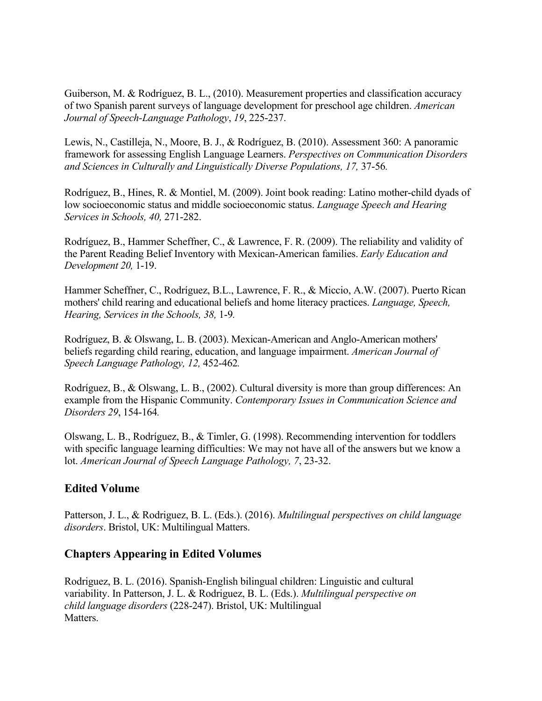Guiberson, M. & Rodríguez, B. L., (2010). Measurement properties and classification accuracy of two Spanish parent surveys of language development for preschool age children. *American Journal of Speech-Language Pathology*, *19*, 225-237.

Lewis, N., Castilleja, N., Moore, B. J., & Rodríguez, B. (2010). Assessment 360: A panoramic framework for assessing English Language Learners. *Perspectives on Communication Disorders and Sciences in Culturally and Linguistically Diverse Populations, 17,* 37-56*.* 

Rodríguez, B., Hines, R. & Montiel, M. (2009). Joint book reading: Latino mother-child dyads of low socioeconomic status and middle socioeconomic status. *Language Speech and Hearing Services in Schools, 40,* 271-282.

Rodríguez, B., Hammer Scheffner, C., & Lawrence, F. R. (2009). The reliability and validity of the Parent Reading Belief Inventory with Mexican-American families. *Early Education and Development 20,* 1-19.

Hammer Scheffner, C., Rodríguez, B.L., Lawrence, F. R., & Miccio, A.W. (2007). Puerto Rican mothers' child rearing and educational beliefs and home literacy practices. *Language, Speech, Hearing, Services in the Schools, 38,* 1-9*.* 

Rodríguez, B. & Olswang, L. B. (2003). Mexican-American and Anglo-American mothers' beliefs regarding child rearing, education, and language impairment. *American Journal of Speech Language Pathology, 12,* 452-462*.* 

Rodríguez, B., & Olswang, L. B., (2002). Cultural diversity is more than group differences: An example from the Hispanic Community. *Contemporary Issues in Communication Science and Disorders 29*, 154-164*.* 

Olswang, L. B., Rodríguez, B., & Timler, G. (1998). Recommending intervention for toddlers with specific language learning difficulties: We may not have all of the answers but we know a lot. *American Journal of Speech Language Pathology, 7*, 23-32.

## **Edited Volume**

Patterson, J. L., & Rodriguez, B. L. (Eds.). (2016). *Multilingual perspectives on child language disorders*. Bristol, UK: Multilingual Matters.

## **Chapters Appearing in Edited Volumes**

Rodriguez, B. L. (2016). Spanish-English bilingual children: Linguistic and cultural variability. In Patterson, J. L. & Rodriguez, B. L. (Eds.). *Multilingual perspective on child language disorders* (228-247). Bristol, UK: Multilingual Matters.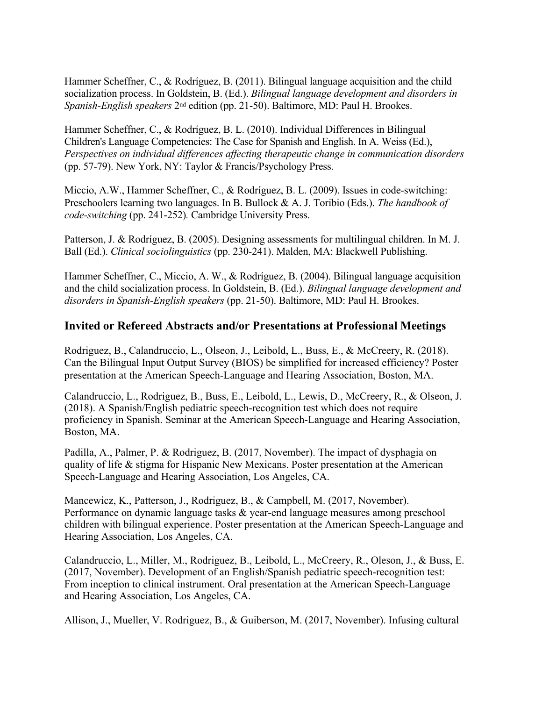Hammer Scheffner, C., & Rodríguez, B. (2011). Bilingual language acquisition and the child socialization process. In Goldstein, B. (Ed.). *Bilingual language development and disorders in Spanish-English speakers* 2nd edition (pp. 21-50). Baltimore, MD: Paul H. Brookes.

Hammer Scheffner, C., & Rodríguez, B. L. (2010). Individual Differences in Bilingual Children's Language Competencies: The Case for Spanish and English. In A. Weiss (Ed.), *Perspectives on individual differences affecting therapeutic change in communication disorders*  (pp. 57-79). New York, NY: Taylor & Francis/Psychology Press.

Miccio, A.W., Hammer Scheffner, C., & Rodríguez, B. L. (2009). Issues in code-switching: Preschoolers learning two languages. In B. Bullock & A. J. Toribio (Eds.). *The handbook of code-switching* (pp. 241-252)*.* Cambridge University Press.

Patterson, J. & Rodríguez, B. (2005). Designing assessments for multilingual children. In M. J. Ball (Ed.). *Clinical sociolinguistics* (pp. 230-241). Malden, MA: Blackwell Publishing.

Hammer Scheffner, C., Miccio, A. W., & Rodríguez, B. (2004). Bilingual language acquisition and the child socialization process. In Goldstein, B. (Ed.). *Bilingual language development and disorders in Spanish-English speakers* (pp. 21-50). Baltimore, MD: Paul H. Brookes.

### **Invited or Refereed Abstracts and/or Presentations at Professional Meetings**

Rodriguez, B., Calandruccio, L., Olseon, J., Leibold, L., Buss, E., & McCreery, R. (2018). Can the Bilingual Input Output Survey (BIOS) be simplified for increased efficiency? Poster presentation at the American Speech-Language and Hearing Association, Boston, MA.

Calandruccio, L., Rodriguez, B., Buss, E., Leibold, L., Lewis, D., McCreery, R., & Olseon, J. (2018). A Spanish/English pediatric speech-recognition test which does not require proficiency in Spanish. Seminar at the American Speech-Language and Hearing Association, Boston, MA.

Padilla, A., Palmer, P. & Rodriguez, B. (2017, November). The impact of dysphagia on quality of life & stigma for Hispanic New Mexicans. Poster presentation at the American Speech-Language and Hearing Association, Los Angeles, CA.

Mancewicz, K., Patterson, J., Rodriguez, B., & Campbell, M. (2017, November). Performance on dynamic language tasks & year-end language measures among preschool children with bilingual experience. Poster presentation at the American Speech-Language and Hearing Association, Los Angeles, CA.

Calandruccio, L., Miller, M., Rodriguez, B., Leibold, L., McCreery, R., Oleson, J., & Buss, E. (2017, November). Development of an English/Spanish pediatric speech-recognition test: From inception to clinical instrument. Oral presentation at the American Speech-Language and Hearing Association, Los Angeles, CA.

Allison, J., Mueller, V. Rodriguez, B., & Guiberson, M. (2017, November). Infusing cultural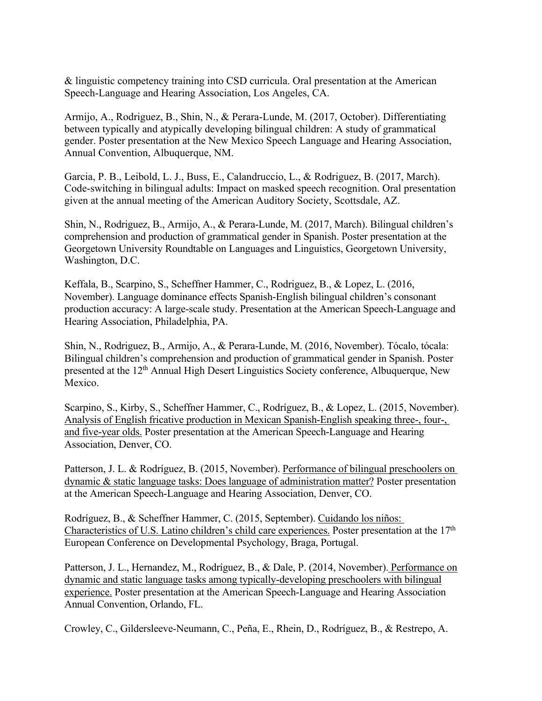& linguistic competency training into CSD curricula. Oral presentation at the American Speech-Language and Hearing Association, Los Angeles, CA.

Armijo, A., Rodriguez, B., Shin, N., & Perara-Lunde, M. (2017, October). Differentiating between typically and atypically developing bilingual children: A study of grammatical gender. Poster presentation at the New Mexico Speech Language and Hearing Association, Annual Convention, Albuquerque, NM.

Garcia, P. B., Leibold, L. J., Buss, E., Calandruccio, L., & Rodriguez, B. (2017, March). Code-switching in bilingual adults: Impact on masked speech recognition. Oral presentation given at the annual meeting of the American Auditory Society, Scottsdale, AZ.

Shin, N., Rodriguez, B., Armijo, A., & Perara-Lunde, M. (2017, March). Bilingual children's comprehension and production of grammatical gender in Spanish. Poster presentation at the Georgetown University Roundtable on Languages and Linguistics, Georgetown University, Washington, D.C.

Keffala, B., Scarpino, S., Scheffner Hammer, C., Rodriguez, B., & Lopez, L. (2016, November). Language dominance effects Spanish-English bilingual children's consonant production accuracy: A large-scale study. Presentation at the American Speech-Language and Hearing Association, Philadelphia, PA.

Shin, N., Rodriguez, B., Armijo, A., & Perara-Lunde, M. (2016, November). Tócalo, tócala: Bilingual children's comprehension and production of grammatical gender in Spanish. Poster presented at the 12th Annual High Desert Linguistics Society conference, Albuquerque, New Mexico.

Scarpino, S., Kirby, S., Scheffner Hammer, C., Rodríguez, B., & Lopez, L. (2015, November). Analysis of English fricative production in Mexican Spanish-English speaking three-, four-, and five-year olds. Poster presentation at the American Speech-Language and Hearing Association, Denver, CO.

Patterson, J. L. & Rodríguez, B. (2015, November). Performance of bilingual preschoolers on dynamic & static language tasks: Does language of administration matter? Poster presentation at the American Speech-Language and Hearing Association, Denver, CO.

Rodríguez, B., & Scheffner Hammer, C. (2015, September). Cuidando los niños: Characteristics of U.S. Latino children's child care experiences. Poster presentation at the 17<sup>th</sup> European Conference on Developmental Psychology, Braga, Portugal.

Patterson, J. L., Hernandez, M., Rodríguez, B., & Dale, P. (2014, November). Performance on dynamic and static language tasks among typically-developing preschoolers with bilingual experience. Poster presentation at the American Speech-Language and Hearing Association Annual Convention, Orlando, FL.

Crowley, C., Gildersleeve-Neumann, C., Peña, E., Rhein, D., Rodríguez, B., & Restrepo, A.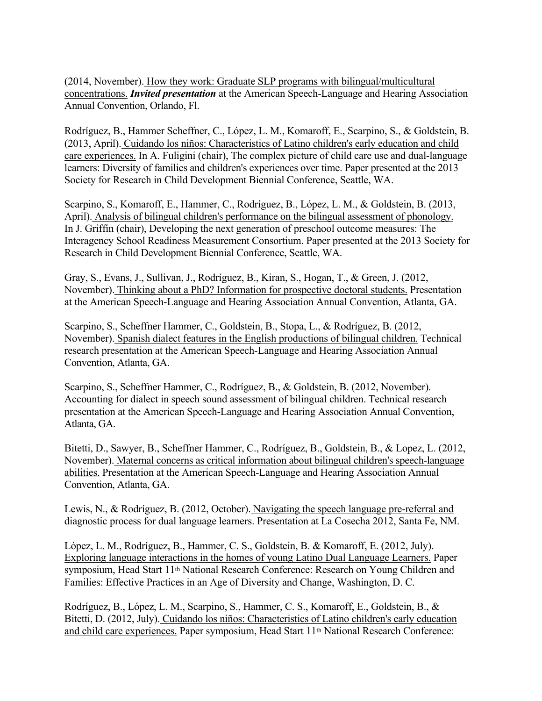(2014, November). How they work: Graduate SLP programs with bilingual/multicultural concentrations. *Invited presentation* at the American Speech-Language and Hearing Association Annual Convention, Orlando, Fl.

Rodríguez, B., Hammer Scheffner, C., López, L. M., Komaroff, E., Scarpino, S., & Goldstein, B. (2013, April). Cuidando los niños: Characteristics of Latino children's early education and child care experiences. In A. Fuligini (chair), The complex picture of child care use and dual-language learners: Diversity of families and children's experiences over time. Paper presented at the 2013 Society for Research in Child Development Biennial Conference, Seattle, WA.

Scarpino, S., Komaroff, E., Hammer, C., Rodríguez, B., López, L. M., & Goldstein, B. (2013, April). Analysis of bilingual children's performance on the bilingual assessment of phonology. In J. Griffin (chair), Developing the next generation of preschool outcome measures: The Interagency School Readiness Measurement Consortium. Paper presented at the 2013 Society for Research in Child Development Biennial Conference, Seattle, WA.

Gray, S., Evans, J., Sullivan, J., Rodríguez, B., Kiran, S., Hogan, T., & Green, J. (2012, November). Thinking about a PhD? Information for prospective doctoral students. Presentation at the American Speech-Language and Hearing Association Annual Convention, Atlanta, GA.

Scarpino, S., Scheffner Hammer, C., Goldstein, B., Stopa, L., & Rodríguez, B. (2012, November). Spanish dialect features in the English productions of bilingual children. Technical research presentation at the American Speech-Language and Hearing Association Annual Convention, Atlanta, GA.

Scarpino, S., Scheffner Hammer, C., Rodríguez, B., & Goldstein, B. (2012, November). Accounting for dialect in speech sound assessment of bilingual children. Technical research presentation at the American Speech-Language and Hearing Association Annual Convention, Atlanta, GA.

Bitetti, D., Sawyer, B., Scheffner Hammer, C., Rodríguez, B., Goldstein, B., & Lopez, L. (2012, November). Maternal concerns as critical information about bilingual children's speech-language abilities. Presentation at the American Speech-Language and Hearing Association Annual Convention, Atlanta, GA.

Lewis, N., & Rodríguez, B. (2012, October). Navigating the speech language pre-referral and diagnostic process for dual language learners. Presentation at La Cosecha 2012, Santa Fe, NM.

López, L. M., Rodríguez, B., Hammer, C. S., Goldstein, B. & Komaroff, E. (2012, July). Exploring language interactions in the homes of young Latino Dual Language Learners. Paper symposium, Head Start 11th National Research Conference: Research on Young Children and Families: Effective Practices in an Age of Diversity and Change, Washington, D. C.

Rodríguez, B., López, L. M., Scarpino, S., Hammer, C. S., Komaroff, E., Goldstein, B., & Bitetti, D. (2012, July). Cuidando los niños: Characteristics of Latino children's early education and child care experiences. Paper symposium, Head Start 11th National Research Conference: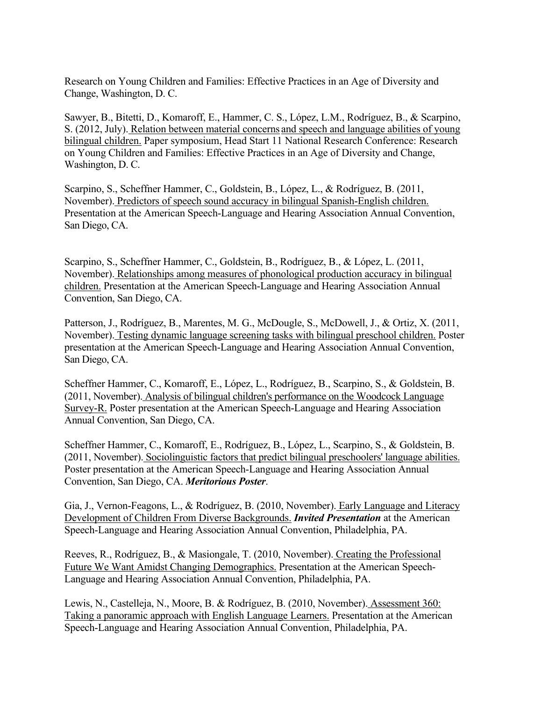Research on Young Children and Families: Effective Practices in an Age of Diversity and Change, Washington, D. C.

Sawyer, B., Bitetti, D., Komaroff, E., Hammer, C. S., López, L.M., Rodríguez, B., & Scarpino, S. (2012, July). Relation between material concerns and speech and language abilities of young bilingual children. Paper symposium, Head Start 11 National Research Conference: Research on Young Children and Families: Effective Practices in an Age of Diversity and Change, Washington, D. C.

Scarpino, S., Scheffner Hammer, C., Goldstein, B., López, L., & Rodríguez, B. (2011, November). Predictors of speech sound accuracy in bilingual Spanish-English children. Presentation at the American Speech-Language and Hearing Association Annual Convention, San Diego, CA.

Scarpino, S., Scheffner Hammer, C., Goldstein, B., Rodríguez, B., & López, L. (2011, November). Relationships among measures of phonological production accuracy in bilingual children. Presentation at the American Speech-Language and Hearing Association Annual Convention, San Diego, CA.

Patterson, J., Rodríguez, B., Marentes, M. G., McDougle, S., McDowell, J., & Ortiz, X. (2011, November). Testing dynamic language screening tasks with bilingual preschool children. Poster presentation at the American Speech-Language and Hearing Association Annual Convention, San Diego, CA.

Scheffner Hammer, C., Komaroff, E., López, L., Rodríguez, B., Scarpino, S., & Goldstein, B. (2011, November). Analysis of bilingual children's performance on the Woodcock Language Survey-R. Poster presentation at the American Speech-Language and Hearing Association Annual Convention, San Diego, CA.

Scheffner Hammer, C., Komaroff, E., Rodríguez, B., López, L., Scarpino, S., & Goldstein, B. (2011, November). Sociolinguistic factors that predict bilingual preschoolers' language abilities. Poster presentation at the American Speech-Language and Hearing Association Annual Convention, San Diego, CA. *Meritorious Poster*.

Gia, J., Vernon-Feagons, L., & Rodríguez, B. (2010, November). Early Language and Literacy Development of Children From Diverse Backgrounds. *Invited Presentation* at the American Speech-Language and Hearing Association Annual Convention, Philadelphia, PA.

Reeves, R., Rodríguez, B., & Masiongale, T. (2010, November). Creating the Professional Future We Want Amidst Changing Demographics. Presentation at the American Speech-Language and Hearing Association Annual Convention, Philadelphia, PA.

Lewis, N., Castelleja, N., Moore, B. & Rodríguez, B. (2010, November). Assessment 360: Taking a panoramic approach with English Language Learners. Presentation at the American Speech-Language and Hearing Association Annual Convention, Philadelphia, PA.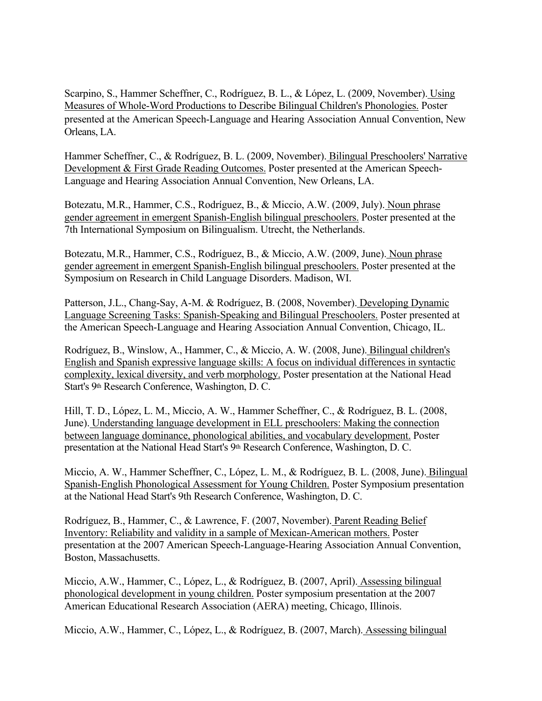Scarpino, S., Hammer Scheffner, C., Rodríguez, B. L., & López, L. (2009, November). Using Measures of Whole-Word Productions to Describe Bilingual Children's Phonologies. Poster presented at the American Speech-Language and Hearing Association Annual Convention, New Orleans, LA.

Hammer Scheffner, C., & Rodríguez, B. L. (2009, November). Bilingual Preschoolers' Narrative Development & First Grade Reading Outcomes. Poster presented at the American Speech-Language and Hearing Association Annual Convention, New Orleans, LA.

Botezatu, M.R., Hammer, C.S., Rodríguez, B., & Miccio, A.W. (2009, July). Noun phrase gender agreement in emergent Spanish-English bilingual preschoolers. Poster presented at the 7th International Symposium on Bilingualism. Utrecht, the Netherlands.

Botezatu, M.R., Hammer, C.S., Rodríguez, B., & Miccio, A.W. (2009, June). Noun phrase gender agreement in emergent Spanish-English bilingual preschoolers. Poster presented at the Symposium on Research in Child Language Disorders. Madison, WI.

Patterson, J.L., Chang-Say, A-M. & Rodríguez, B. (2008, November). Developing Dynamic Language Screening Tasks: Spanish-Speaking and Bilingual Preschoolers. Poster presented at the American Speech-Language and Hearing Association Annual Convention, Chicago, IL.

Rodríguez, B., Winslow, A., Hammer, C., & Miccio, A. W. (2008, June). Bilingual children's English and Spanish expressive language skills: A focus on individual differences in syntactic complexity, lexical diversity, and verb morphology. Poster presentation at the National Head Start's 9th Research Conference, Washington, D. C.

Hill, T. D., López, L. M., Miccio, A. W., Hammer Scheffner, C., & Rodríguez, B. L. (2008, June). Understanding language development in ELL preschoolers: Making the connection between language dominance, phonological abilities, and vocabulary development. Poster presentation at the National Head Start's 9<sup>th</sup> Research Conference, Washington, D. C.

Miccio, A. W., Hammer Scheffner, C., López, L. M., & Rodríguez, B. L. (2008, June). Bilingual Spanish-English Phonological Assessment for Young Children. Poster Symposium presentation at the National Head Start's 9th Research Conference, Washington, D. C.

Rodríguez, B., Hammer, C., & Lawrence, F. (2007, November). Parent Reading Belief Inventory: Reliability and validity in a sample of Mexican-American mothers. Poster presentation at the 2007 American Speech-Language-Hearing Association Annual Convention, Boston, Massachusetts.

Miccio, A.W., Hammer, C., López, L., & Rodríguez, B. (2007, April). Assessing bilingual phonological development in young children. Poster symposium presentation at the 2007 American Educational Research Association (AERA) meeting, Chicago, Illinois.

Miccio, A.W., Hammer, C., López, L., & Rodríguez, B. (2007, March). Assessing bilingual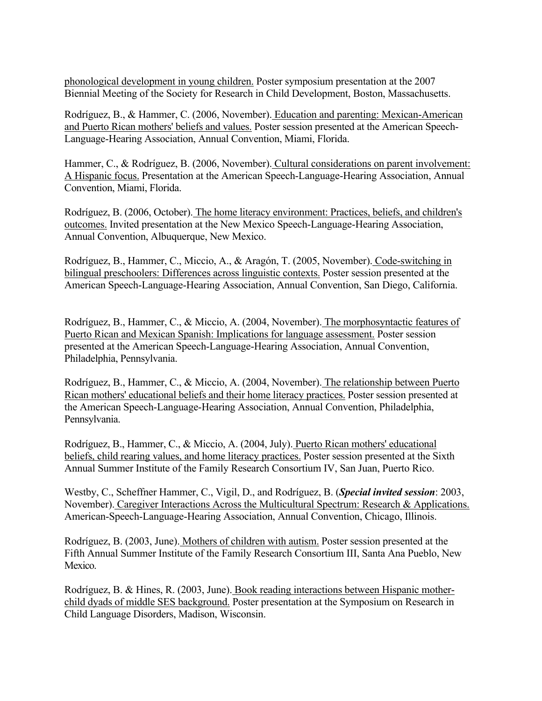phonological development in young children. Poster symposium presentation at the 2007 Biennial Meeting of the Society for Research in Child Development, Boston, Massachusetts.

Rodríguez, B., & Hammer, C. (2006, November). Education and parenting: Mexican-American and Puerto Rican mothers' beliefs and values. Poster session presented at the American Speech-Language-Hearing Association, Annual Convention, Miami, Florida.

Hammer, C., & Rodríguez, B. (2006, November). Cultural considerations on parent involvement: A Hispanic focus. Presentation at the American Speech-Language-Hearing Association, Annual Convention, Miami, Florida.

Rodríguez, B. (2006, October). The home literacy environment: Practices, beliefs, and children's outcomes. Invited presentation at the New Mexico Speech-Language-Hearing Association, Annual Convention, Albuquerque, New Mexico.

Rodríguez, B., Hammer, C., Miccio, A., & Aragón, T. (2005, November). Code-switching in bilingual preschoolers: Differences across linguistic contexts. Poster session presented at the American Speech-Language-Hearing Association, Annual Convention, San Diego, California.

Rodríguez, B., Hammer, C., & Miccio, A. (2004, November). The morphosyntactic features of Puerto Rican and Mexican Spanish: Implications for language assessment. Poster session presented at the American Speech-Language-Hearing Association, Annual Convention, Philadelphia, Pennsylvania.

Rodríguez, B., Hammer, C., & Miccio, A. (2004, November). The relationship between Puerto Rican mothers' educational beliefs and their home literacy practices. Poster session presented at the American Speech-Language-Hearing Association, Annual Convention, Philadelphia, Pennsylvania.

Rodríguez, B., Hammer, C., & Miccio, A. (2004, July). Puerto Rican mothers' educational beliefs, child rearing values, and home literacy practices. Poster session presented at the Sixth Annual Summer Institute of the Family Research Consortium IV, San Juan, Puerto Rico.

Westby, C., Scheffner Hammer, C., Vigil, D., and Rodríguez, B. (*Special invited session*: 2003, November). Caregiver Interactions Across the Multicultural Spectrum: Research & Applications. American-Speech-Language-Hearing Association, Annual Convention, Chicago, Illinois.

Rodríguez, B. (2003, June). Mothers of children with autism. Poster session presented at the Fifth Annual Summer Institute of the Family Research Consortium III, Santa Ana Pueblo, New Mexico.

Rodríguez, B. & Hines, R. (2003, June). Book reading interactions between Hispanic motherchild dyads of middle SES background. Poster presentation at the Symposium on Research in Child Language Disorders, Madison, Wisconsin.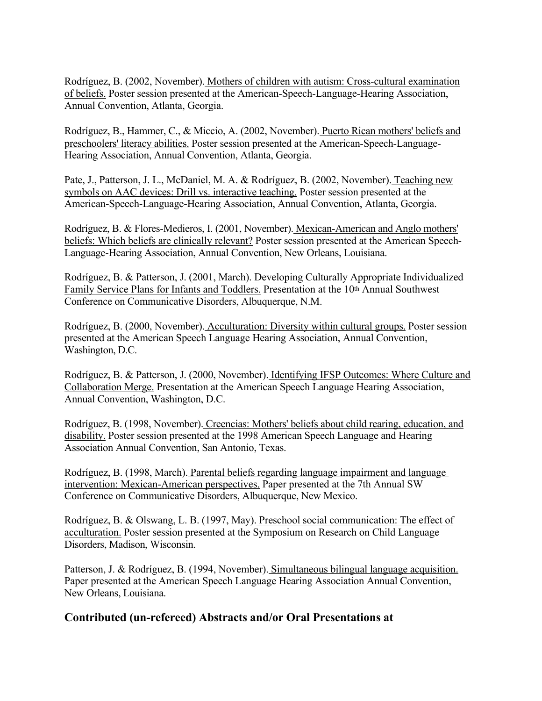Rodríguez, B. (2002, November). Mothers of children with autism: Cross-cultural examination of beliefs. Poster session presented at the American-Speech-Language-Hearing Association, Annual Convention, Atlanta, Georgia.

Rodríguez, B., Hammer, C., & Miccio, A. (2002, November). Puerto Rican mothers' beliefs and preschoolers' literacy abilities. Poster session presented at the American-Speech-Language-Hearing Association, Annual Convention, Atlanta, Georgia.

Pate, J., Patterson, J. L., McDaniel, M. A. & Rodríguez, B. (2002, November). Teaching new symbols on AAC devices: Drill vs. interactive teaching. Poster session presented at the American-Speech-Language-Hearing Association, Annual Convention, Atlanta, Georgia.

Rodríguez, B. & Flores-Medieros, I. (2001, November). Mexican-American and Anglo mothers' beliefs: Which beliefs are clinically relevant? Poster session presented at the American Speech-Language-Hearing Association, Annual Convention, New Orleans, Louisiana.

Rodríguez, B. & Patterson, J. (2001, March). Developing Culturally Appropriate Individualized Family Service Plans for Infants and Toddlers. Presentation at the 10<sup>th</sup> Annual Southwest Conference on Communicative Disorders, Albuquerque, N.M.

Rodríguez, B. (2000, November). Acculturation: Diversity within cultural groups. Poster session presented at the American Speech Language Hearing Association, Annual Convention, Washington, D.C.

Rodríguez, B. & Patterson, J. (2000, November). Identifying IFSP Outcomes: Where Culture and Collaboration Merge. Presentation at the American Speech Language Hearing Association, Annual Convention, Washington, D.C.

Rodríguez, B. (1998, November). Creencias: Mothers' beliefs about child rearing, education, and disability. Poster session presented at the 1998 American Speech Language and Hearing Association Annual Convention, San Antonio, Texas.

Rodríguez, B. (1998, March). Parental beliefs regarding language impairment and language intervention: Mexican-American perspectives. Paper presented at the 7th Annual SW Conference on Communicative Disorders, Albuquerque, New Mexico.

Rodríguez, B. & Olswang, L. B. (1997, May). Preschool social communication: The effect of acculturation. Poster session presented at the Symposium on Research on Child Language Disorders, Madison, Wisconsin.

Patterson, J. & Rodríguez, B. (1994, November). Simultaneous bilingual language acquisition. Paper presented at the American Speech Language Hearing Association Annual Convention, New Orleans, Louisiana.

## **Contributed (un-refereed) Abstracts and/or Oral Presentations at**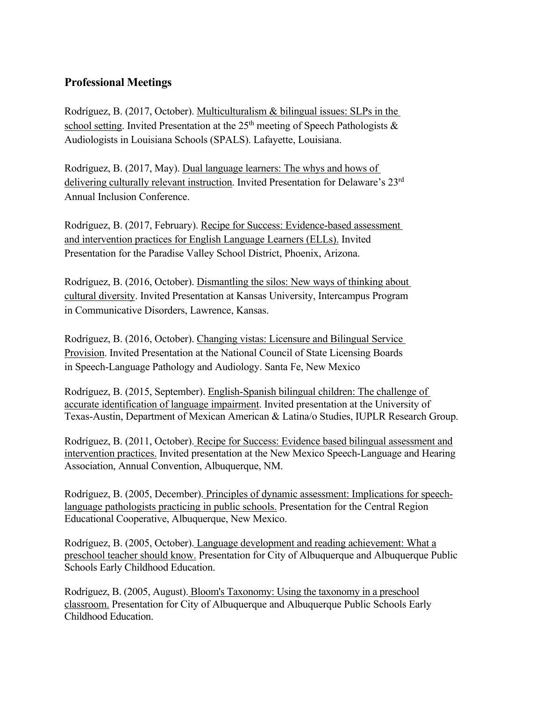## **Professional Meetings**

Rodríguez, B. (2017, October). Multiculturalism & bilingual issues: SLPs in the school setting. Invited Presentation at the  $25<sup>th</sup>$  meeting of Speech Pathologists  $\&$ Audiologists in Louisiana Schools (SPALS). Lafayette, Louisiana.

Rodríguez, B. (2017, May). Dual language learners: The whys and hows of delivering culturally relevant instruction. Invited Presentation for Delaware's 23rd Annual Inclusion Conference.

Rodríguez, B. (2017, February). Recipe for Success: Evidence-based assessment and intervention practices for English Language Learners (ELLs). Invited Presentation for the Paradise Valley School District, Phoenix, Arizona.

Rodríguez, B. (2016, October). Dismantling the silos: New ways of thinking about cultural diversity. Invited Presentation at Kansas University, Intercampus Program in Communicative Disorders, Lawrence, Kansas.

Rodríguez, B. (2016, October). Changing vistas: Licensure and Bilingual Service Provision. Invited Presentation at the National Council of State Licensing Boards in Speech-Language Pathology and Audiology. Santa Fe, New Mexico

Rodríguez, B. (2015, September). English-Spanish bilingual children: The challenge of accurate identification of language impairment. Invited presentation at the University of Texas-Austin, Department of Mexican American & Latina/o Studies, IUPLR Research Group.

Rodríguez, B. (2011, October). Recipe for Success: Evidence based bilingual assessment and intervention practices. Invited presentation at the New Mexico Speech-Language and Hearing Association, Annual Convention, Albuquerque, NM.

Rodríguez, B. (2005, December). Principles of dynamic assessment: Implications for speechlanguage pathologists practicing in public schools. Presentation for the Central Region Educational Cooperative, Albuquerque, New Mexico.

Rodríguez, B. (2005, October). Language development and reading achievement: What a preschool teacher should know. Presentation for City of Albuquerque and Albuquerque Public Schools Early Childhood Education.

Rodríguez, B. (2005, August). Bloom's Taxonomy: Using the taxonomy in a preschool classroom. Presentation for City of Albuquerque and Albuquerque Public Schools Early Childhood Education.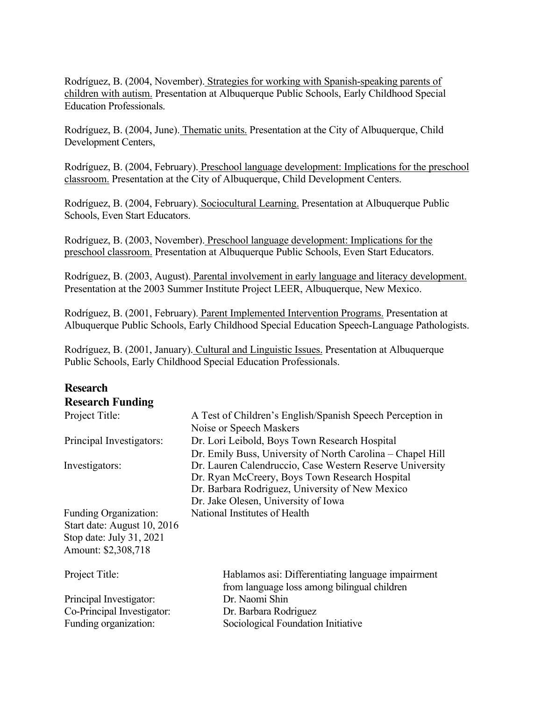Rodríguez, B. (2004, November). Strategies for working with Spanish-speaking parents of children with autism. Presentation at Albuquerque Public Schools, Early Childhood Special Education Professionals.

Rodríguez, B. (2004, June). Thematic units. Presentation at the City of Albuquerque, Child Development Centers,

Rodríguez, B. (2004, February). Preschool language development: Implications for the preschool classroom. Presentation at the City of Albuquerque, Child Development Centers.

Rodríguez, B. (2004, February). Sociocultural Learning. Presentation at Albuquerque Public Schools, Even Start Educators.

Rodríguez, B. (2003, November). Preschool language development: Implications for the preschool classroom. Presentation at Albuquerque Public Schools, Even Start Educators.

Rodríguez, B. (2003, August). Parental involvement in early language and literacy development. Presentation at the 2003 Summer Institute Project LEER, Albuquerque, New Mexico.

Rodríguez, B. (2001, February). Parent Implemented Intervention Programs. Presentation at Albuquerque Public Schools, Early Childhood Special Education Speech-Language Pathologists.

Rodríguez, B. (2001, January). Cultural and Linguistic Issues. Presentation at Albuquerque Public Schools, Early Childhood Special Education Professionals.

# **Research Research Funding**

| Project Title:               | A Test of Children's English/Spanish Speech Perception in  |
|------------------------------|------------------------------------------------------------|
|                              | Noise or Speech Maskers                                    |
| Principal Investigators:     | Dr. Lori Leibold, Boys Town Research Hospital              |
|                              | Dr. Emily Buss, University of North Carolina – Chapel Hill |
| Investigators:               | Dr. Lauren Calendruccio, Case Western Reserve University   |
|                              | Dr. Ryan McCreery, Boys Town Research Hospital             |
|                              | Dr. Barbara Rodriguez, University of New Mexico            |
|                              | Dr. Jake Olesen, University of Iowa                        |
| <b>Funding Organization:</b> | National Institutes of Health                              |
| Start date: August 10, 2016  |                                                            |
| Stop date: July 31, 2021     |                                                            |
| Amount: \$2,308,718          |                                                            |
|                              |                                                            |
| Project Title:               | Hablamos asi: Differentiating language impairment          |
|                              | from language loss among bilingual children                |
| Principal Investigator:      | Dr. Naomi Shin                                             |
| Co-Principal Investigator:   | Dr. Barbara Rodriguez                                      |
| Funding organization:        | Sociological Foundation Initiative                         |
|                              |                                                            |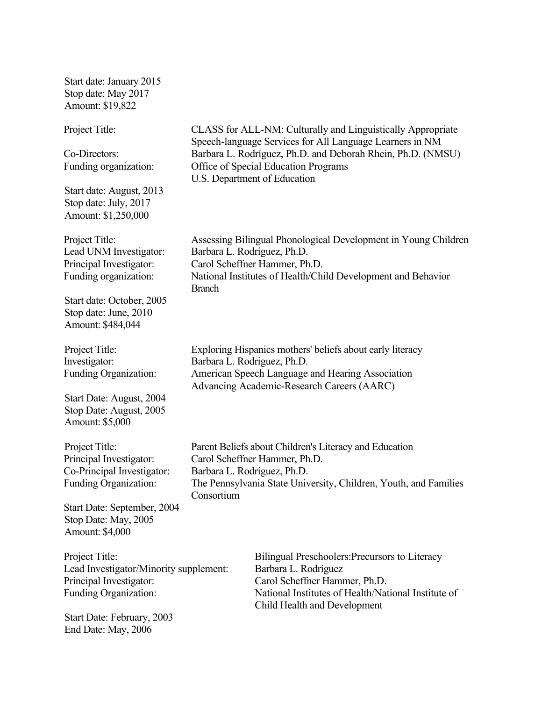Start date: January 2015 Stop date: May 2017 Amount: \$19,822

Start date: August, 2013 Stop date: July, 2017 Amount: \$1,250,000

Start date: October, 2005 Stop date: June, 2010 Amount: \$484,044

Start Date: August, 2004 Stop Date: August, 2005 Amount: \$5,000

Start Date: September, 2004 Stop Date: May, 2005 Amount: \$4,000

Lead Investigator/Minority supplement: Barbara L. Rodríguez Principal Investigator: Carol Scheffner Hammer, Ph.D.

Start Date: February, 2003 End Date: May, 2006

Project Title: CLASS for ALL-NM: Culturally and Linguistically Appropriate Speech-language Services for All Language Learners in NM Co-Directors: Barbara L. Rodríguez, Ph.D. and Deborah Rhein, Ph.D. (NMSU) Funding organization: Office of Special Education Programs U.S. Department of Education

Project Title: Assessing Bilingual Phonological Development in Young Children Lead UNM Investigator: Barbara L. Rodríguez, Ph.D. Principal Investigator: Carol Scheffner Hammer, Ph.D. Funding organization: National Institutes of Health/Child Development and Behavior Branch

Project Title: Exploring Hispanics mothers' beliefs about early literacy Investigator: Barbara L. Rodriguez, Ph.D. Funding Organization: American Speech Language and Hearing Association Advancing Academic-Research Careers (AARC)

Project Title: Parent Beliefs about Children's Literacy and Education Principal Investigator: Carol Scheffner Hammer, Ph.D. Co-Principal Investigator: Barbara L. Rodríguez, Ph.D. Funding Organization: The Pennsylvania State University, Children, Youth, and Families Consortium

Project Title: Bilingual Preschoolers:Precursors to Literacy Funding Organization: National Institutes of Health/National Institute of Child Health and Development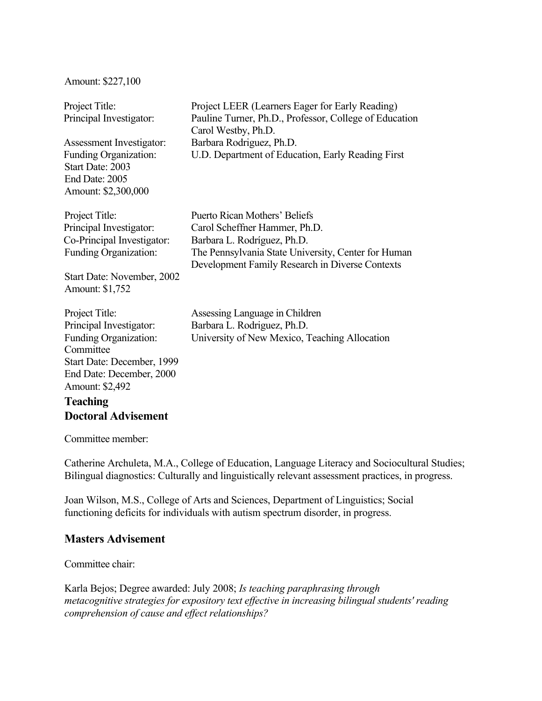#### Amount: \$227,100

| Project Title:<br>Principal Investigator:<br>Assessment Investigator:<br><b>Funding Organization:</b><br>Start Date: 2003<br>End Date: 2005<br>Amount: \$2,300,000 | Project LEER (Learners Eager for Early Reading)<br>Pauline Turner, Ph.D., Professor, College of Education<br>Carol Westby, Ph.D.<br>Barbara Rodriguez, Ph.D.<br>U.D. Department of Education, Early Reading First |
|--------------------------------------------------------------------------------------------------------------------------------------------------------------------|-------------------------------------------------------------------------------------------------------------------------------------------------------------------------------------------------------------------|
| Project Title:<br>Principal Investigator:<br>Co-Principal Investigator:<br>Funding Organization:<br>Start Date: November, 2002<br>Amount: \$1,752                  | Puerto Rican Mothers' Beliefs<br>Carol Scheffner Hammer, Ph.D.<br>Barbara L. Rodríguez, Ph.D.<br>The Pennsylvania State University, Center for Human<br>Development Family Research in Diverse Contexts           |
| Project Title:<br>Principal Investigator:<br>Funding Organization:<br>Committee<br>Start Date: December, 1999<br>End Date: December, 2000                          | Assessing Language in Children<br>Barbara L. Rodriguez, Ph.D.<br>University of New Mexico, Teaching Allocation                                                                                                    |

### **Teaching Doctoral Advisement**

Committee member:

Amount: \$2,492

Catherine Archuleta, M.A., College of Education, Language Literacy and Sociocultural Studies; Bilingual diagnostics: Culturally and linguistically relevant assessment practices, in progress.

Joan Wilson, M.S., College of Arts and Sciences, Department of Linguistics; Social functioning deficits for individuals with autism spectrum disorder, in progress.

## **Masters Advisement**

Committee chair:

Karla Bejos; Degree awarded: July 2008; *Is teaching paraphrasing through metacognitive strategies for expository text effective in increasing bilingual students' reading comprehension of cause and effect relationships?*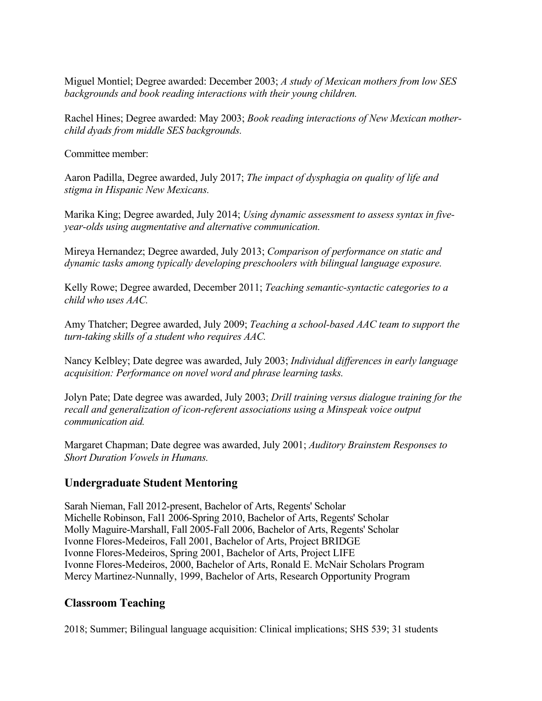Miguel Montiel; Degree awarded: December 2003; *A study of Mexican mothers from low SES backgrounds and book reading interactions with their young children.* 

Rachel Hines; Degree awarded: May 2003; *Book reading interactions of New Mexican motherchild dyads from middle SES backgrounds.* 

Committee member:

Aaron Padilla, Degree awarded, July 2017; *The impact of dysphagia on quality of life and stigma in Hispanic New Mexicans.*

Marika King; Degree awarded, July 2014; *Using dynamic assessment to assess syntax in fiveyear-olds using augmentative and alternative communication.* 

Mireya Hernandez; Degree awarded, July 2013; *Comparison of performance on static and dynamic tasks among typically developing preschoolers with bilingual language exposure.* 

Kelly Rowe; Degree awarded, December 2011; *Teaching semantic-syntactic categories to a child who uses AAC.* 

Amy Thatcher; Degree awarded, July 2009; *Teaching a school-based AAC team to support the turn-taking skills of a student who requires AAC.* 

Nancy Kelbley; Date degree was awarded, July 2003; *Individual differences in early language acquisition: Performance on novel word and phrase learning tasks.* 

Jolyn Pate; Date degree was awarded, July 2003; *Drill training versus dialogue training for the recall and generalization of icon-referent associations using a Minspeak voice output communication aid.* 

Margaret Chapman; Date degree was awarded, July 2001; *Auditory Brainstem Responses to Short Duration Vowels in Humans.* 

## **Undergraduate Student Mentoring**

Sarah Nieman, Fall 2012-present, Bachelor of Arts, Regents' Scholar Michelle Robinson, Fal1 2006-Spring 2010, Bachelor of Arts, Regents' Scholar Molly Maguire-Marshall, Fall 2005-Fall 2006, Bachelor of Arts, Regents' Scholar Ivonne Flores-Medeiros, Fall 2001, Bachelor of Arts, Project BRIDGE Ivonne Flores-Medeiros, Spring 2001, Bachelor of Arts, Project LIFE Ivonne Flores-Medeiros, 2000, Bachelor of Arts, Ronald E. McNair Scholars Program Mercy Martinez-Nunnally, 1999, Bachelor of Arts, Research Opportunity Program

## **Classroom Teaching**

2018; Summer; Bilingual language acquisition: Clinical implications; SHS 539; 31 students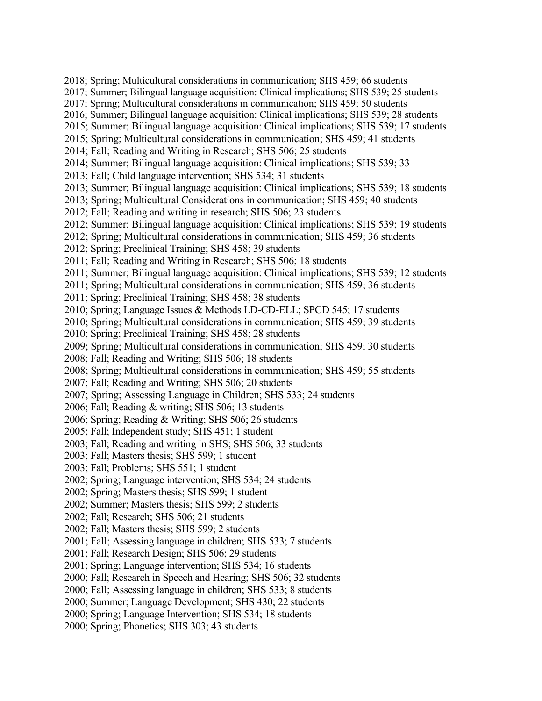2018; Spring; Multicultural considerations in communication; SHS 459; 66 students 2017; Summer; Bilingual language acquisition: Clinical implications; SHS 539; 25 students 2017; Spring; Multicultural considerations in communication; SHS 459; 50 students 2016; Summer; Bilingual language acquisition: Clinical implications; SHS 539; 28 students 2015; Summer; Bilingual language acquisition: Clinical implications; SHS 539; 17 students 2015; Spring; Multicultural considerations in communication; SHS 459; 41 students 2014; Fall; Reading and Writing in Research; SHS 506; 25 students 2014; Summer; Bilingual language acquisition: Clinical implications; SHS 539; 33 2013; Fall; Child language intervention; SHS 534; 31 students 2013; Summer; Bilingual language acquisition: Clinical implications; SHS 539; 18 students 2013; Spring; Multicultural Considerations in communication; SHS 459; 40 students 2012; Fall; Reading and writing in research; SHS 506; 23 students 2012; Summer; Bilingual language acquisition: Clinical implications; SHS 539; 19 students 2012; Spring; Multicultural considerations in communication; SHS 459; 36 students 2012; Spring; Preclinical Training; SHS 458; 39 students 2011; Fall; Reading and Writing in Research; SHS 506; 18 students 2011; Summer; Bilingual language acquisition: Clinical implications; SHS 539; 12 students 2011; Spring; Multicultural considerations in communication; SHS 459; 36 students 2011; Spring; Preclinical Training; SHS 458; 38 students 2010; Spring; Language Issues & Methods LD-CD-ELL; SPCD 545; 17 students 2010; Spring; Multicultural considerations in communication; SHS 459; 39 students 2010; Spring; Preclinical Training; SHS 458; 28 students 2009; Spring; Multicultural considerations in communication; SHS 459; 30 students 2008; Fall; Reading and Writing; SHS 506; 18 students 2008; Spring; Multicultural considerations in communication; SHS 459; 55 students 2007; Fall; Reading and Writing; SHS 506; 20 students 2007; Spring; Assessing Language in Children; SHS 533; 24 students 2006; Fall; Reading & writing; SHS 506; 13 students 2006; Spring; Reading & Writing; SHS 506; 26 students 2005; Fall; Independent study; SHS 451; 1 student 2003; Fall; Reading and writing in SHS; SHS 506; 33 students 2003; Fall; Masters thesis; SHS 599; 1 student 2003; Fall; Problems; SHS 551; 1 student 2002; Spring; Language intervention; SHS 534; 24 students 2002; Spring; Masters thesis; SHS 599; 1 student 2002; Summer; Masters thesis; SHS 599; 2 students 2002; Fall; Research; SHS 506; 21 students 2002; Fall; Masters thesis; SHS 599; 2 students 2001; Fall; Assessing language in children; SHS 533; 7 students 2001; Fall; Research Design; SHS 506; 29 students 2001; Spring; Language intervention; SHS 534; 16 students 2000; Fall; Research in Speech and Hearing; SHS 506; 32 students 2000; Fall; Assessing language in children; SHS 533; 8 students 2000; Summer; Language Development; SHS 430; 22 students 2000; Spring; Language Intervention; SHS 534; 18 students 2000; Spring; Phonetics; SHS 303; 43 students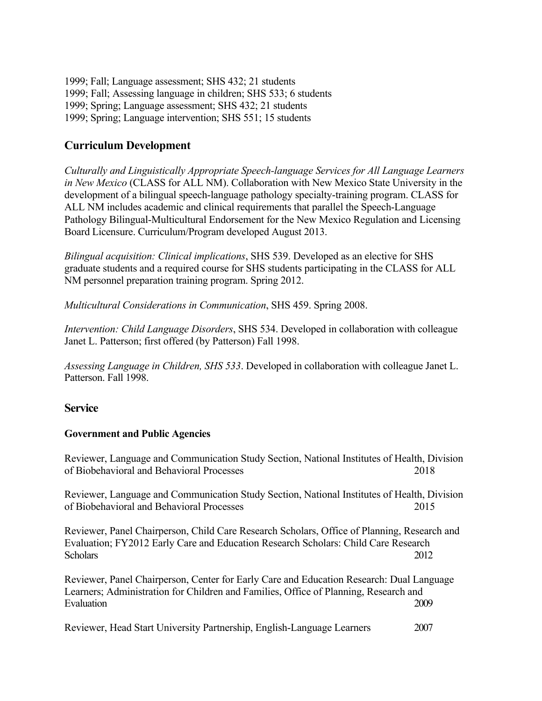1999; Fall; Language assessment; SHS 432; 21 students 1999; Fall; Assessing language in children; SHS 533; 6 students 1999; Spring; Language assessment; SHS 432; 21 students 1999; Spring; Language intervention; SHS 551; 15 students

## **Curriculum Development**

*Culturally and Linguistically Appropriate Speech-language Services for All Language Learners in New Mexico* (CLASS for ALL NM). Collaboration with New Mexico State University in the development of a bilingual speech-language pathology specialty-training program. CLASS for ALL NM includes academic and clinical requirements that parallel the Speech-Language Pathology Bilingual-Multicultural Endorsement for the New Mexico Regulation and Licensing Board Licensure. Curriculum/Program developed August 2013.

*Bilingual acquisition: Clinical implications*, SHS 539. Developed as an elective for SHS graduate students and a required course for SHS students participating in the CLASS for ALL NM personnel preparation training program. Spring 2012.

*Multicultural Considerations in Communication*, SHS 459. Spring 2008.

*Intervention: Child Language Disorders*, SHS 534. Developed in collaboration with colleague Janet L. Patterson; first offered (by Patterson) Fall 1998.

*Assessing Language in Children, SHS 533*. Developed in collaboration with colleague Janet L. Patterson. Fall 1998.

### **Service**

### **Government and Public Agencies**

Reviewer, Language and Communication Study Section, National Institutes of Health, Division of Biobehavioral and Behavioral Processes 2018

Reviewer, Language and Communication Study Section, National Institutes of Health, Division of Biobehavioral and Behavioral Processes 2015

Reviewer, Panel Chairperson, Child Care Research Scholars, Office of Planning, Research and Evaluation; FY2012 Early Care and Education Research Scholars: Child Care Research Scholars 2012

Reviewer, Panel Chairperson, Center for Early Care and Education Research: Dual Language Learners; Administration for Children and Families, Office of Planning, Research and Evaluation 2009

Reviewer, Head Start University Partnership, English-Language Learners 2007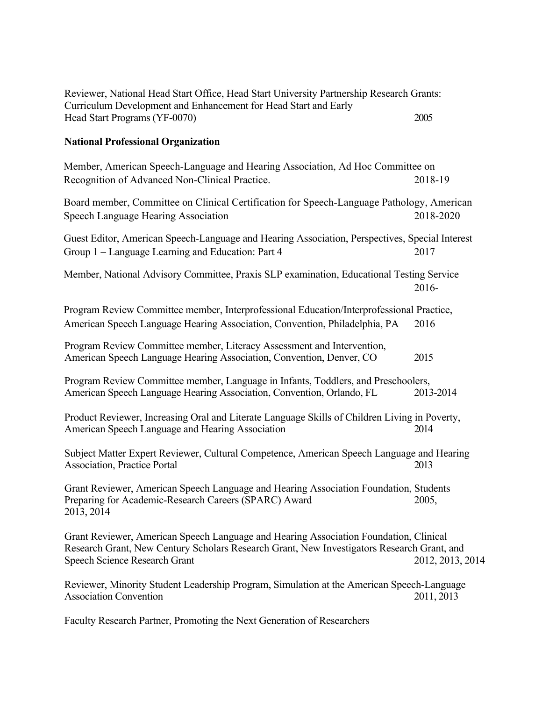| Curriculum Development and Enhancement for Head Start and Early<br>Head Start Programs (YF-0070)                                                                                                                            | 2005             |
|-----------------------------------------------------------------------------------------------------------------------------------------------------------------------------------------------------------------------------|------------------|
| <b>National Professional Organization</b>                                                                                                                                                                                   |                  |
| Member, American Speech-Language and Hearing Association, Ad Hoc Committee on<br>Recognition of Advanced Non-Clinical Practice.                                                                                             | 2018-19          |
| Board member, Committee on Clinical Certification for Speech-Language Pathology, American<br>Speech Language Hearing Association                                                                                            | 2018-2020        |
| Guest Editor, American Speech-Language and Hearing Association, Perspectives, Special Interest<br>Group 1 – Language Learning and Education: Part 4                                                                         | 2017             |
| Member, National Advisory Committee, Praxis SLP examination, Educational Testing Service                                                                                                                                    | 2016-            |
| Program Review Committee member, Interprofessional Education/Interprofessional Practice,<br>American Speech Language Hearing Association, Convention, Philadelphia, PA                                                      | 2016             |
| Program Review Committee member, Literacy Assessment and Intervention,<br>American Speech Language Hearing Association, Convention, Denver, CO                                                                              | 2015             |
| Program Review Committee member, Language in Infants, Toddlers, and Preschoolers,<br>American Speech Language Hearing Association, Convention, Orlando, FL                                                                  | 2013-2014        |
| Product Reviewer, Increasing Oral and Literate Language Skills of Children Living in Poverty,<br>American Speech Language and Hearing Association                                                                           | 2014             |
| Subject Matter Expert Reviewer, Cultural Competence, American Speech Language and Hearing<br><b>Association, Practice Portal</b>                                                                                            | 2013             |
| Grant Reviewer, American Speech Language and Hearing Association Foundation, Students<br>Preparing for Academic-Research Careers (SPARC) Award<br>2013, 2014                                                                | 2005,            |
| Grant Reviewer, American Speech Language and Hearing Association Foundation, Clinical<br>Research Grant, New Century Scholars Research Grant, New Investigators Research Grant, and<br><b>Speech Science Research Grant</b> | 2012, 2013, 2014 |
| Reviewer, Minority Student Leadership Program, Simulation at the American Speech-Language<br><b>Association Convention</b>                                                                                                  | 2011, 2013       |

Reviewer, National Head Start Office, Head Start University Partnership Research Grants:

Faculty Research Partner, Promoting the Next Generation of Researchers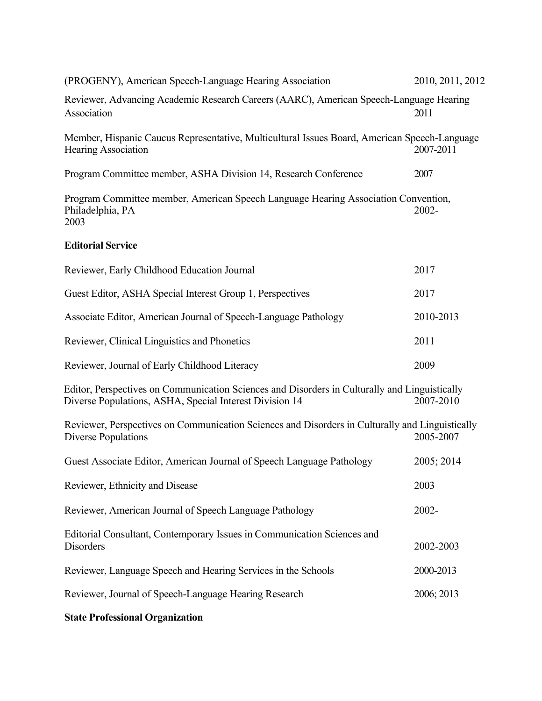| (PROGENY), American Speech-Language Hearing Association                                                                                                  | 2010, 2011, 2012 |
|----------------------------------------------------------------------------------------------------------------------------------------------------------|------------------|
| Reviewer, Advancing Academic Research Careers (AARC), American Speech-Language Hearing<br>Association                                                    | 2011             |
| Member, Hispanic Caucus Representative, Multicultural Issues Board, American Speech-Language<br><b>Hearing Association</b>                               | 2007-2011        |
| Program Committee member, ASHA Division 14, Research Conference                                                                                          | 2007             |
| Program Committee member, American Speech Language Hearing Association Convention,<br>Philadelphia, PA<br>2003                                           | 2002-            |
| <b>Editorial Service</b>                                                                                                                                 |                  |
| Reviewer, Early Childhood Education Journal                                                                                                              | 2017             |
| Guest Editor, ASHA Special Interest Group 1, Perspectives                                                                                                | 2017             |
| Associate Editor, American Journal of Speech-Language Pathology                                                                                          | 2010-2013        |
| Reviewer, Clinical Linguistics and Phonetics                                                                                                             | 2011             |
| Reviewer, Journal of Early Childhood Literacy                                                                                                            | 2009             |
| Editor, Perspectives on Communication Sciences and Disorders in Culturally and Linguistically<br>Diverse Populations, ASHA, Special Interest Division 14 | 2007-2010        |
| Reviewer, Perspectives on Communication Sciences and Disorders in Culturally and Linguistically<br>Diverse Populations                                   | 2005-2007        |
| Guest Associate Editor, American Journal of Speech Language Pathology                                                                                    | 2005; 2014       |
| Reviewer, Ethnicity and Disease                                                                                                                          | 2003             |
| Reviewer, American Journal of Speech Language Pathology                                                                                                  | 2002-            |
| Editorial Consultant, Contemporary Issues in Communication Sciences and<br>Disorders                                                                     | 2002-2003        |
| Reviewer, Language Speech and Hearing Services in the Schools                                                                                            | 2000-2013        |
| Reviewer, Journal of Speech-Language Hearing Research                                                                                                    | 2006; 2013       |

# **State Professional Organization**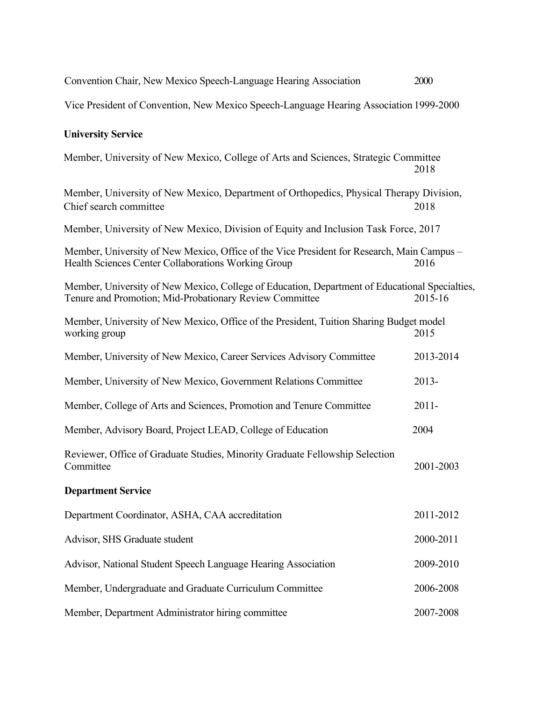| Convention Chair, New Mexico Speech-Language Hearing Association                                                                                          | 2000      |  |
|-----------------------------------------------------------------------------------------------------------------------------------------------------------|-----------|--|
| Vice President of Convention, New Mexico Speech-Language Hearing Association 1999-2000                                                                    |           |  |
| <b>University Service</b>                                                                                                                                 |           |  |
| Member, University of New Mexico, College of Arts and Sciences, Strategic Committee                                                                       | 2018      |  |
| Member, University of New Mexico, Department of Orthopedics, Physical Therapy Division,<br>Chief search committee                                         | 2018      |  |
| Member, University of New Mexico, Division of Equity and Inclusion Task Force, 2017                                                                       |           |  |
| Member, University of New Mexico, Office of the Vice President for Research, Main Campus -<br>Health Sciences Center Collaborations Working Group         | 2016      |  |
| Member, University of New Mexico, College of Education, Department of Educational Specialties,<br>Tenure and Promotion; Mid-Probationary Review Committee | 2015-16   |  |
| Member, University of New Mexico, Office of the President, Tuition Sharing Budget model<br>working group                                                  | 2015      |  |
| Member, University of New Mexico, Career Services Advisory Committee                                                                                      | 2013-2014 |  |
| Member, University of New Mexico, Government Relations Committee                                                                                          | $2013 -$  |  |
| Member, College of Arts and Sciences, Promotion and Tenure Committee                                                                                      | $2011 -$  |  |
| Member, Advisory Board, Project LEAD, College of Education                                                                                                | 2004      |  |
| Reviewer, Office of Graduate Studies, Minority Graduate Fellowship Selection<br>Committee                                                                 | 2001-2003 |  |
| <b>Department Service</b>                                                                                                                                 |           |  |
| Department Coordinator, ASHA, CAA accreditation                                                                                                           | 2011-2012 |  |
| Advisor, SHS Graduate student                                                                                                                             | 2000-2011 |  |
| Advisor, National Student Speech Language Hearing Association                                                                                             | 2009-2010 |  |
| Member, Undergraduate and Graduate Curriculum Committee                                                                                                   | 2006-2008 |  |
| Member, Department Administrator hiring committee                                                                                                         | 2007-2008 |  |